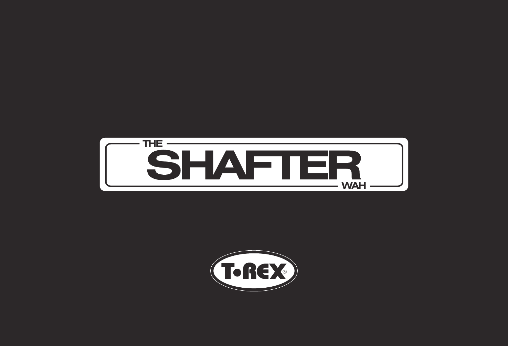

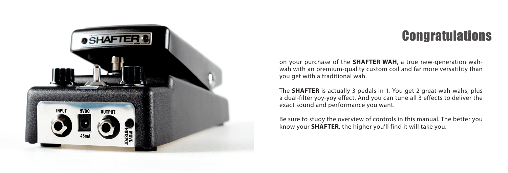

# **Congratulations**

on your purchase of the **SHAFTER WAH**, a true new-generation wahwah with an premium-quality custom coil and far more versatility than you get with a traditional wah.

The **SHAFTER** is actually 3 pedals in 1. You get 2 great wah-wahs, plus a dual-filter yoy-yoy effect. And you can tune all 3 effects to deliver the exact sound and performance you want.

Be sure to study the overview of controls in this manual. The better you know your **SHAFTER**, the higher you'll find it will take you.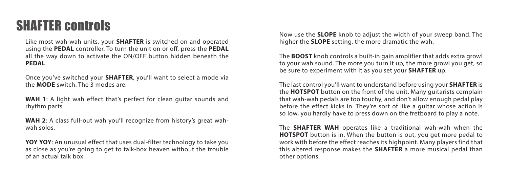## SHAFTER controls

Like most wah-wah units, your **SHAFTER** is switched on and operated using the **PEDAL** controller. To turn the unit on or off, press the **PEDAL** all the way down to activate the ON/OFF button hidden beneath the **PEDAL**.

Once you've switched your **SHAFTER**, you'll want to select a mode via the **MODE** switch. The 3 modes are:

**WAH 1**: A light wah effect that's perfect for clean guitar sounds and rhythm parts

**WAH 2**: A class full-out wah you'll recognize from history's great wahwah solos.

**YOY YOY**: An unusual effect that uses dual-filter technology to take you as close as you're going to get to talk-box heaven without the trouble of an actual talk box.

Now use the **SLOPE** knob to adjust the width of your sweep band. The higher the **SLOPE** setting, the more dramatic the wah.

The **BOOST** knob controls a built-in gain amplifier that adds extra growl to your wah sound. The more you turn it up, the more growl you get, so be sure to experiment with it as you set your **SHAFTER** up.

The last control you'll want to understand before using your **SHAFTER** is the **HOTSPOT** button on the front of the unit. Many guitarists complain that wah-wah pedals are too touchy, and don't allow enough pedal play before the effect kicks in. They're sort of like a guitar whose action is so low, you hardly have to press down on the fretboard to play a note.

The **SHAFTER WAH** operates like a traditional wah-wah when the **HOTSPOT** button is in. When the button is out, you get more pedal to work with before the effect reaches its highpoint. Many players find that this altered response makes the **SHAFTER** a more musical pedal than other options.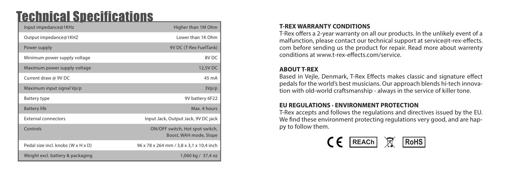### **Technical Specifications**

| Input impedance@1KHz               | Higher than 1M Ohm                                        |
|------------------------------------|-----------------------------------------------------------|
| Output impedance@1KHZ              | Lower than 1K Ohm                                         |
| Power supply                       | 9V DC (T-Rex FuelTank)                                    |
| Minimum power supply voltage       | 8V <sub>DC</sub>                                          |
| Maximum power supply voltage       | 12,5V DC                                                  |
| Current draw @ 9V DC               | 45 mA                                                     |
| Maximum input signal Vp/p          | 3Vp/p                                                     |
| Battery type                       | 9V battery 6F22                                           |
| <b>Battery life</b>                | Max. 4 hours                                              |
| <b>External connectors</b>         | Input Jack, Output Jack, 9V DC jack                       |
| Controls                           | ON/OFF switch, Hot spot switch,<br>Boost, WAH mode, Slope |
| Pedal size incl. knobs (W x H x D) | 96 x 78 x 264 mm / 3,8 x 3,1 x 10,4 inch                  |
| Weight excl. battery & packaging   | 1,060 kg / 37,4 oz                                        |

#### **T-REX WARRANTY CONDITIONS**

T-Rex offers a 2-year warranty on all our products. In the unlikely event of a malfunction, please contact our technical support at service@t-rex-effects. com before sending us the product for repair. Read more about warrenty conditions at www.t-rex-effects.com/service.

#### **ABOUT T-REX**

Based in Vejle, Denmark, T-Rex Effects makes classic and signature effect pedals for the world's best musicians. Our approach blends hi-tech innovation with old-world craftsmanship - always in the service of killer tone.

### **EU REGULATIONS · ENVIRONMENT PROTECTION**

T-Rex accepts and follows the regulations and directives issued by the EU. We find these environment protecting regulations very good, and are happy to follow them.